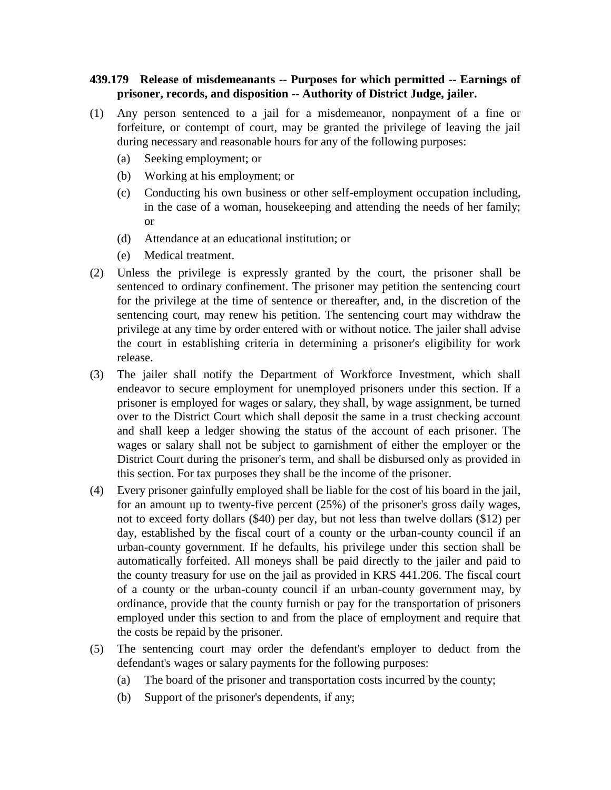## **439.179 Release of misdemeanants -- Purposes for which permitted -- Earnings of prisoner, records, and disposition -- Authority of District Judge, jailer.**

- (1) Any person sentenced to a jail for a misdemeanor, nonpayment of a fine or forfeiture, or contempt of court, may be granted the privilege of leaving the jail during necessary and reasonable hours for any of the following purposes:
	- (a) Seeking employment; or
	- (b) Working at his employment; or
	- (c) Conducting his own business or other self-employment occupation including, in the case of a woman, housekeeping and attending the needs of her family; or
	- (d) Attendance at an educational institution; or
	- (e) Medical treatment.
- (2) Unless the privilege is expressly granted by the court, the prisoner shall be sentenced to ordinary confinement. The prisoner may petition the sentencing court for the privilege at the time of sentence or thereafter, and, in the discretion of the sentencing court, may renew his petition. The sentencing court may withdraw the privilege at any time by order entered with or without notice. The jailer shall advise the court in establishing criteria in determining a prisoner's eligibility for work release.
- (3) The jailer shall notify the Department of Workforce Investment, which shall endeavor to secure employment for unemployed prisoners under this section. If a prisoner is employed for wages or salary, they shall, by wage assignment, be turned over to the District Court which shall deposit the same in a trust checking account and shall keep a ledger showing the status of the account of each prisoner. The wages or salary shall not be subject to garnishment of either the employer or the District Court during the prisoner's term, and shall be disbursed only as provided in this section. For tax purposes they shall be the income of the prisoner.
- (4) Every prisoner gainfully employed shall be liable for the cost of his board in the jail, for an amount up to twenty-five percent (25%) of the prisoner's gross daily wages, not to exceed forty dollars (\$40) per day, but not less than twelve dollars (\$12) per day, established by the fiscal court of a county or the urban-county council if an urban-county government. If he defaults, his privilege under this section shall be automatically forfeited. All moneys shall be paid directly to the jailer and paid to the county treasury for use on the jail as provided in KRS 441.206. The fiscal court of a county or the urban-county council if an urban-county government may, by ordinance, provide that the county furnish or pay for the transportation of prisoners employed under this section to and from the place of employment and require that the costs be repaid by the prisoner.
- (5) The sentencing court may order the defendant's employer to deduct from the defendant's wages or salary payments for the following purposes:
	- (a) The board of the prisoner and transportation costs incurred by the county;
	- (b) Support of the prisoner's dependents, if any;